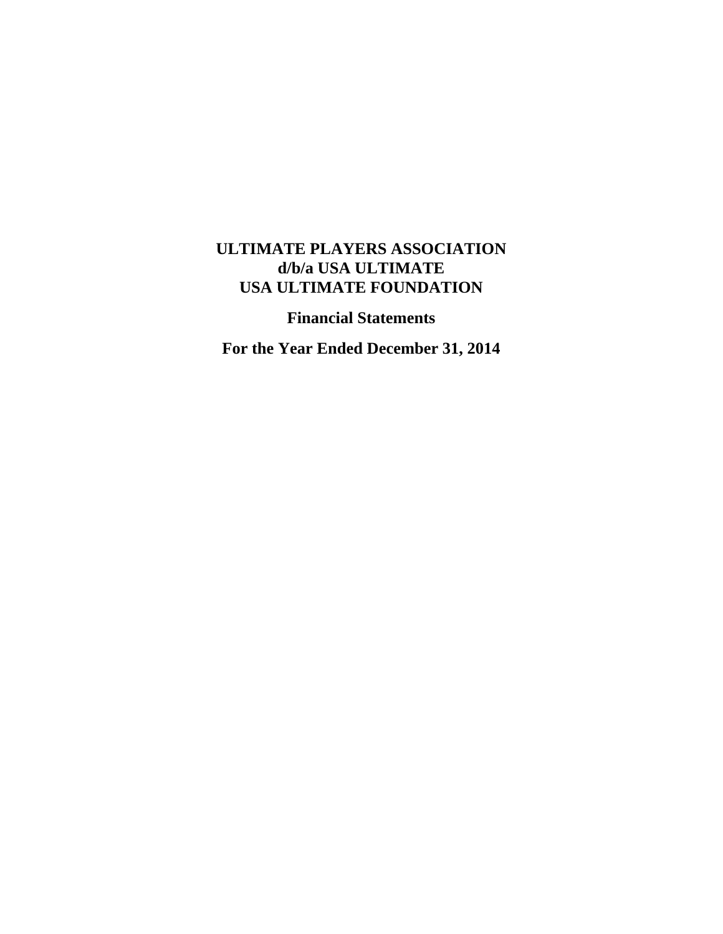# **ULTIMATE PLAYERS ASSOCIATION d/b/a USA ULTIMATE USA ULTIMATE FOUNDATION**

**Financial Statements** 

**For the Year Ended December 31, 2014**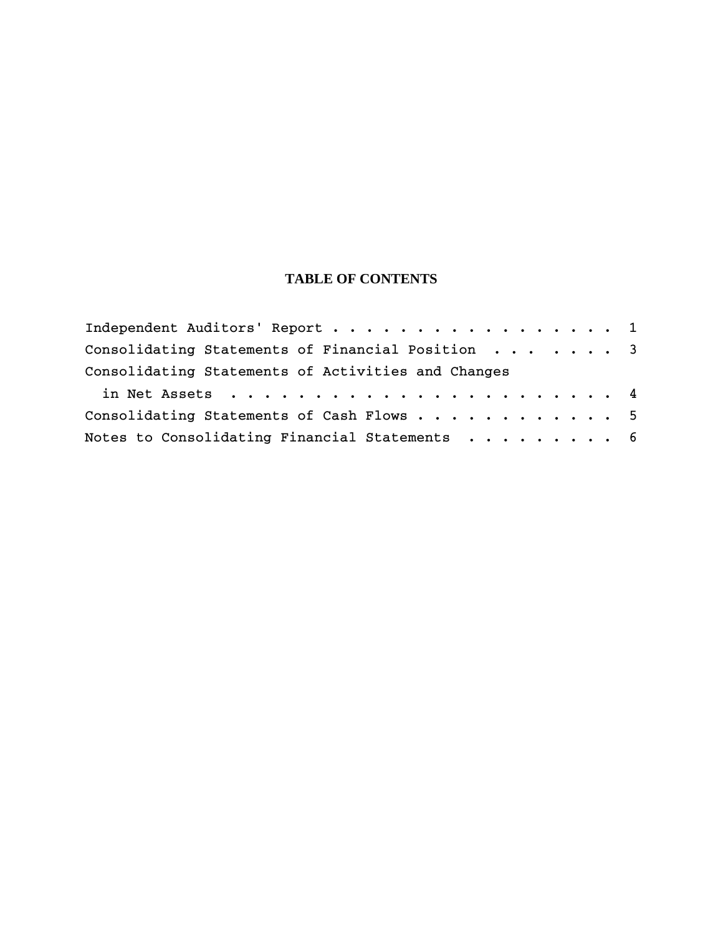# **TABLE OF CONTENTS**

| Independent Auditors' Report 1                     |  |  |
|----------------------------------------------------|--|--|
| Consolidating Statements of Financial Position 3   |  |  |
| Consolidating Statements of Activities and Changes |  |  |
|                                                    |  |  |
| Consolidating Statements of Cash Flows 5           |  |  |
| Notes to Consolidating Financial Statements 6      |  |  |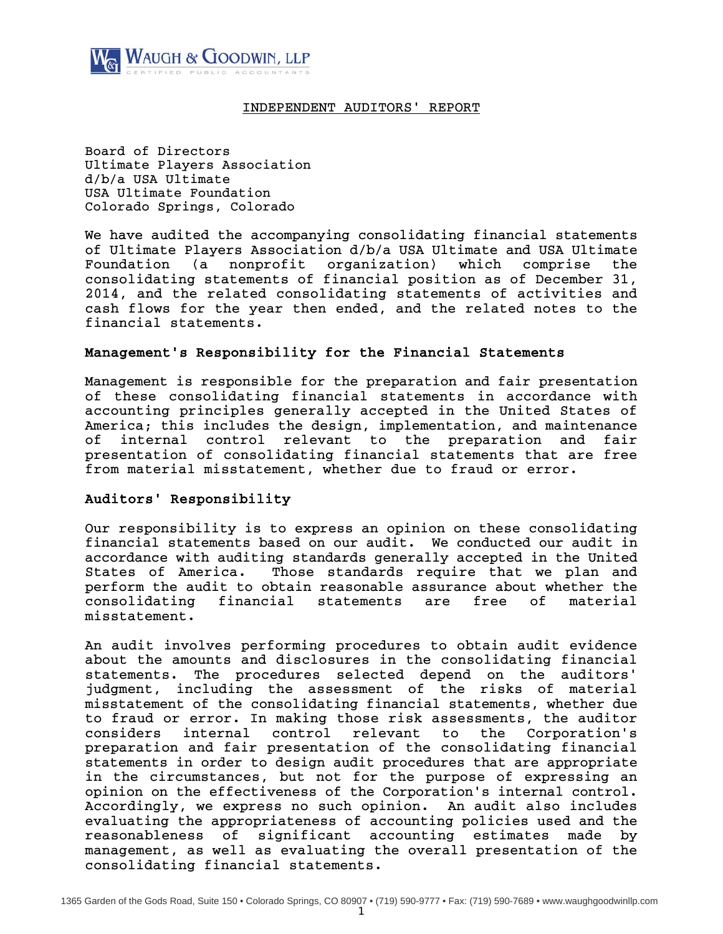

# INDEPENDENT AUDITORS' REPORT

Board of Directors Ultimate Players Association d/b/a USA Ultimate USA Ultimate Foundation Colorado Springs, Colorado

We have audited the accompanying consolidating financial statements of Ultimate Players Association d/b/a USA Ultimate and USA Ultimate Foundation (a nonprofit organization) which comprise the consolidating statements of financial position as of December 31, 2014, and the related consolidating statements of activities and cash flows for the year then ended, and the related notes to the financial statements.

# Management's Responsibility for the Financial Statements

Management is responsible for the preparation and fair presentation of these consolidating financial statements in accordance with accounting principles generally accepted in the United States of America; this includes the design, implementation, and maintenance of internal control relevant to the preparation and fair presentation of consolidating financial statements that are free from material misstatement, whether due to fraud or error.

# Auditors' Responsibility

Our responsibility is to express an opinion on these consolidating financial statements based on our audit. We conducted our audit in accordance with auditing standards generally accepted in the United States of America. Those standards require that we plan and perform the audit to obtain reasonable assurance about whether the consolidating financial statements are free of material misstatement.

An audit involves performing procedures to obtain audit evidence about the amounts and disclosures in the consolidating financial statements. The procedures selected depend on the auditors' judgment, including the assessment of the risks of material misstatement of the consolidating financial statements, whether due to fraud or error. In making those risk assessments, the auditor considers internal control relevant to the Corporation's preparation and fair presentation of the consolidating financial statements in order to design audit procedures that are appropriate in the circumstances, but not for the purpose of expressing an opinion on the effectiveness of the Corporation's internal control. Accordingly, we express no such opinion. An audit also includes evaluating the appropriateness of accounting policies used and the reasonableness of significant accounting estimates made by management, as well as evaluating the overall presentation of the consolidating financial statements.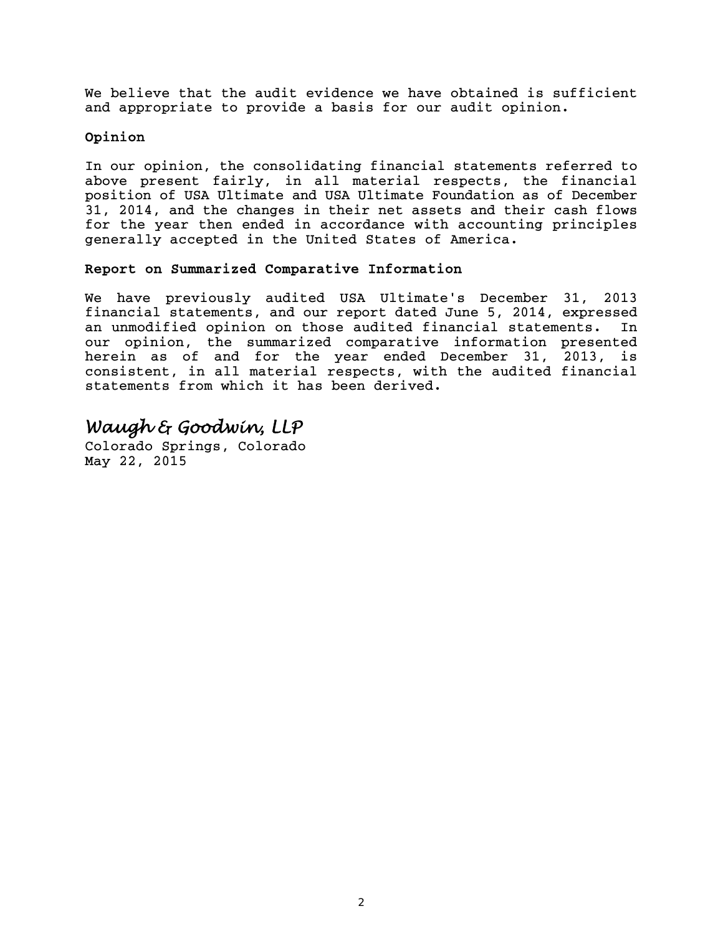We believe that the audit evidence we have obtained is sufficient and appropriate to provide a basis for our audit opinion.

# Opinion

In our opinion, the consolidating financial statements referred to above present fairly, in all material respects, the financial position of USA Ultimate and USA Ultimate Foundation as of December 31, 2014, and the changes in their net assets and their cash flows for the year then ended in accordance with accounting principles generally accepted in the United States of America.

# Report on Summarized Comparative Information

We have previously audited USA Ultimate's December 31, 2013 financial statements, and our report dated June 5, 2014, expressed an unmodified opinion on those audited financial statements. In our opinion, the summarized comparative information presented herein as of and for the year ended December 31, 2013, is consistent, in all material respects, with the audited financial statements from which it has been derived.

# *Waugh & Goodwin, LLP*

Colorado Springs, Colorado May 22, 2015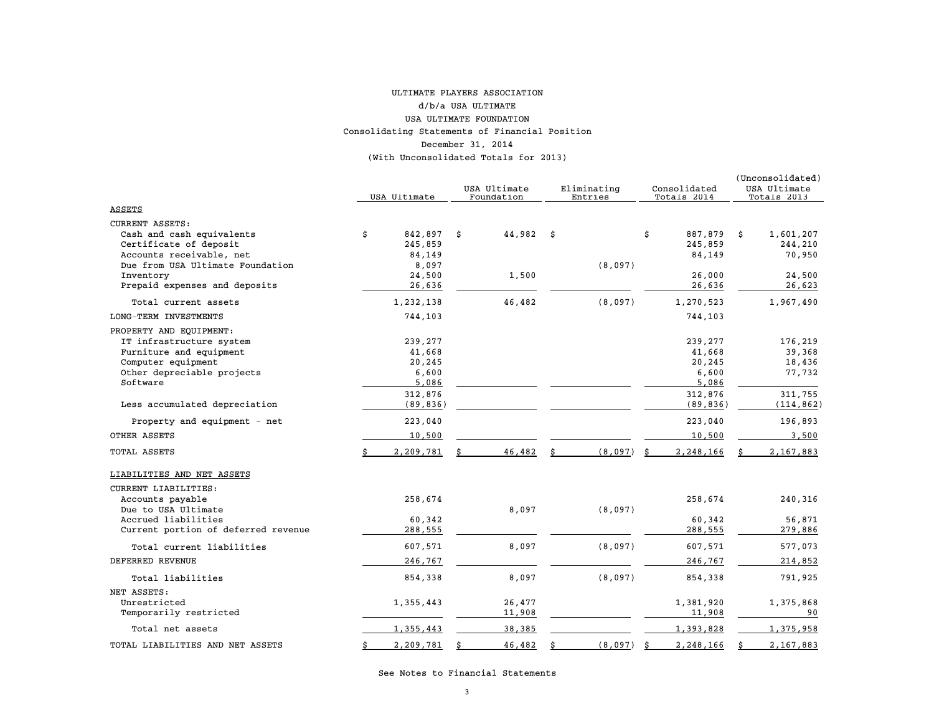#### Consolidating Statements of Financial Position December 31, 2014 (With Unconsolidated Totals for 2013) ULTIMATE PLAYERS ASSOCIATION d/b/a USA ULTIMATE USA ULTIMATE FOUNDATION

|                                                                                                                                                            | USA Ultimate                                          | USA Ultimate<br>Foundation | Eliminating<br>Entries | Consolidated<br>Totals 2014                   |   | (Unconsolidated)<br>USA Ultimate<br>Totals 2013 |
|------------------------------------------------------------------------------------------------------------------------------------------------------------|-------------------------------------------------------|----------------------------|------------------------|-----------------------------------------------|---|-------------------------------------------------|
| ASSETS                                                                                                                                                     |                                                       |                            |                        |                                               |   |                                                 |
| <b>CURRENT ASSETS:</b><br>Cash and cash equivalents<br>Certificate of deposit<br>Accounts receivable, net<br>Due from USA Ultimate Foundation<br>Inventory | \$<br>842,897<br>245,859<br>84,149<br>8,097<br>24,500 | \$<br>44,982 \$<br>1,500   | (8,097)                | \$<br>887,879<br>245,859<br>84,149<br>26,000  | Ŝ | 1,601,207<br>244,210<br>70,950<br>24,500        |
| Prepaid expenses and deposits                                                                                                                              | 26,636                                                |                            |                        | 26,636                                        |   | 26,623                                          |
| Total current assets                                                                                                                                       | 1,232,138                                             | 46,482                     | (8,097)                | 1,270,523                                     |   | 1,967,490                                       |
| LONG-TERM INVESTMENTS                                                                                                                                      | 744,103                                               |                            |                        | 744,103                                       |   |                                                 |
| PROPERTY AND EQUIPMENT:<br>IT infrastructure system<br>Furniture and equipment<br>Computer equipment<br>Other depreciable projects<br>Software             | 239,277<br>41,668<br>20,245<br>6,600<br>5,086         |                            |                        | 239,277<br>41,668<br>20,245<br>6,600<br>5,086 |   | 176,219<br>39,368<br>18,436<br>77,732           |
| Less accumulated depreciation                                                                                                                              | 312,876<br>(89, 836)                                  |                            |                        | 312,876<br>(89, 836)                          |   | 311,755<br>(114, 862)                           |
| Property and equipment - net                                                                                                                               | 223,040                                               |                            |                        | 223,040                                       |   | 196,893                                         |
| OTHER ASSETS                                                                                                                                               | 10,500                                                |                            |                        | 10,500                                        |   | 3,500                                           |
| TOTAL ASSETS                                                                                                                                               | 2,209,781                                             | 46,482                     | (8,097)                | 2,248,166                                     |   | 2,167,883                                       |
| LIABILITIES AND NET ASSETS                                                                                                                                 |                                                       |                            |                        |                                               |   |                                                 |
| CURRENT LIABILITIES:<br>Accounts payable<br>Due to USA Ultimate<br>Accrued liabilities                                                                     | 258,674<br>60,342                                     | 8,097                      | (8,097)                | 258,674<br>60,342                             |   | 240,316<br>56,871                               |
| Current portion of deferred revenue                                                                                                                        | 288,555                                               |                            |                        | 288,555                                       |   | 279,886                                         |
| Total current liabilities                                                                                                                                  | 607,571                                               | 8,097                      | (8,097)                | 607,571                                       |   | 577,073                                         |
| DEFERRED REVENUE                                                                                                                                           | 246,767                                               |                            |                        | 246,767                                       |   | 214,852                                         |
| Total liabilities                                                                                                                                          | 854,338                                               | 8,097                      | (8,097)                | 854,338                                       |   | 791,925                                         |
| NET ASSETS:<br>Unrestricted<br>Temporarily restricted                                                                                                      | 1,355,443                                             | 26,477<br>11,908           |                        | 1,381,920<br>11,908                           |   | 1,375,868<br>90                                 |
| Total net assets                                                                                                                                           | 1,355,443                                             | 38,385                     |                        | 1,393,828                                     |   | 1,375,958                                       |
| TOTAL LIABILITIES AND NET ASSETS                                                                                                                           | \$<br>2,209,781                                       | 46,482                     | (8,097)<br>\$          | \$<br>2,248,166                               | Ŝ | 2,167,883                                       |

See Notes to Financial Statements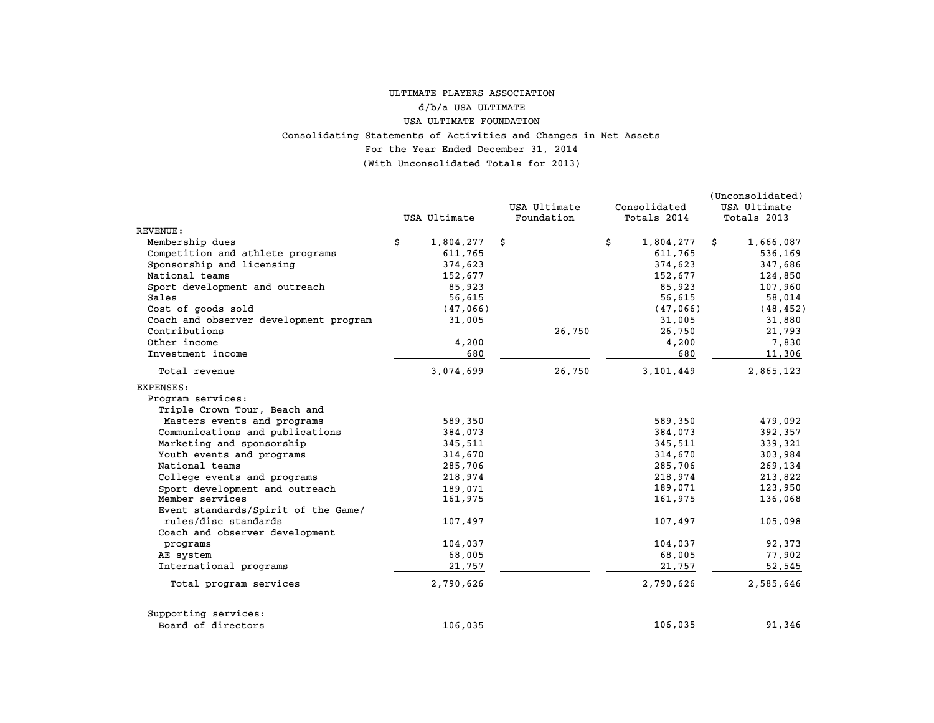#### For the Year Ended December 31, 2014 (With Unconsolidated Totals for 2013) Consolidating Statements of Activities and Changes in Net Assets ULTIMATE PLAYERS ASSOCIATION d/b/a USA ULTIMATE USA ULTIMATE FOUNDATION

|                                        | USA Ultimate    | USA Ultimate<br>Foundation | Consolidated<br>Totals 2014 | (Unconsolidated)<br>USA Ultimate<br>Totals 2013 |
|----------------------------------------|-----------------|----------------------------|-----------------------------|-------------------------------------------------|
| <b>REVENUE :</b>                       |                 |                            |                             |                                                 |
| Membership dues                        | \$<br>1,804,277 | \$                         | \$<br>1,804,277             | 1,666,087<br>\$                                 |
| Competition and athlete programs       | 611,765         |                            | 611,765                     | 536,169                                         |
| Sponsorship and licensing              | 374,623         |                            | 374,623                     | 347,686                                         |
| National teams                         | 152,677         |                            | 152,677                     | 124,850                                         |
| Sport development and outreach         | 85,923          |                            | 85,923                      | 107,960                                         |
| Sales                                  | 56,615          |                            | 56,615                      | 58,014                                          |
| Cost of goods sold                     | (47,066)        |                            | (47,066)                    | (48, 452)                                       |
| Coach and observer development program | 31,005          |                            | 31,005                      | 31,880                                          |
| Contributions                          |                 | 26,750                     | 26,750                      | 21,793                                          |
| Other income                           | 4,200           |                            | 4,200                       | 7,830                                           |
| Investment income                      | 680             |                            | 680                         | 11,306                                          |
| Total revenue                          | 3,074,699       | 26,750                     | 3,101,449                   | 2,865,123                                       |
| EXPENSES:                              |                 |                            |                             |                                                 |
| Program services:                      |                 |                            |                             |                                                 |
| Triple Crown Tour, Beach and           |                 |                            |                             |                                                 |
| Masters events and programs            | 589,350         |                            | 589,350                     | 479,092                                         |
| Communications and publications        | 384,073         |                            | 384,073                     | 392,357                                         |
| Marketing and sponsorship              | 345,511         |                            | 345,511                     | 339,321                                         |
| Youth events and programs              | 314,670         |                            | 314,670                     | 303,984                                         |
| National teams                         | 285,706         |                            | 285,706                     | 269,134                                         |
| College events and programs            | 218,974         |                            | 218,974                     | 213,822                                         |
| Sport development and outreach         | 189,071         |                            | 189,071                     | 123,950                                         |
| Member services                        | 161,975         |                            | 161,975                     | 136,068                                         |
| Event standards/Spirit of the Game/    |                 |                            |                             |                                                 |
| rules/disc standards                   | 107,497         |                            | 107,497                     | 105,098                                         |
| Coach and observer development         |                 |                            |                             |                                                 |
| programs                               | 104,037         |                            | 104,037                     | 92,373                                          |
| AE system                              | 68,005          |                            | 68,005                      | 77,902                                          |
| International programs                 | 21,757          |                            | 21,757                      | 52,545                                          |
| Total program services                 | 2,790,626       |                            | 2,790,626                   | 2,585,646                                       |
| Supporting services:                   |                 |                            |                             |                                                 |
| Board of directors                     | 106,035         |                            | 106,035                     | 91,346                                          |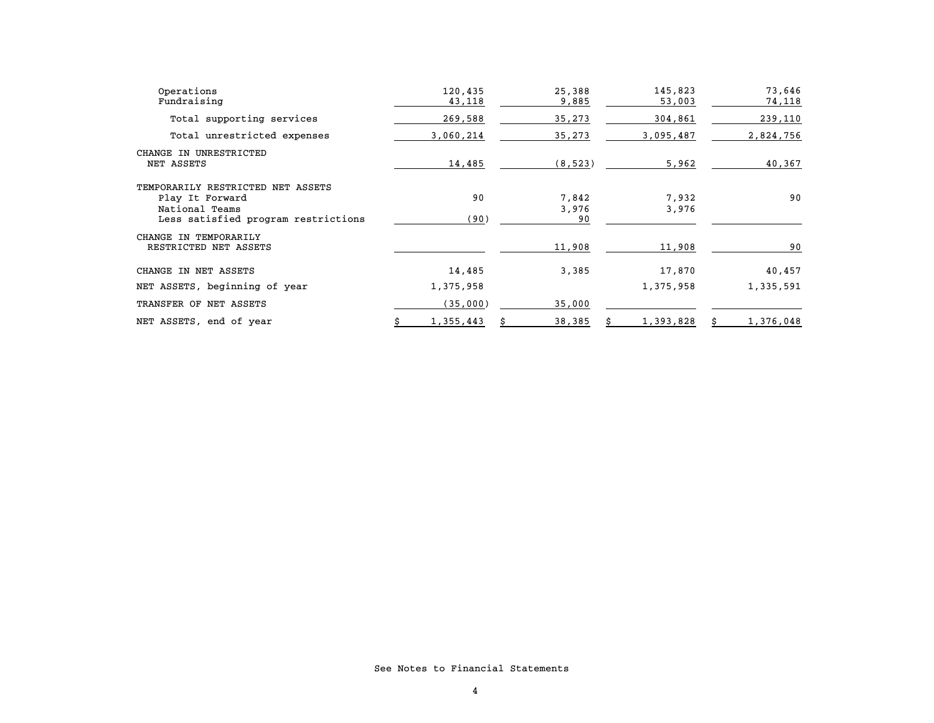| Operations<br>Fundraising                                              | 120,435<br>43,118 | 25,388<br>9,885 | 145,823<br>53,003 | 73,646<br>74,118 |
|------------------------------------------------------------------------|-------------------|-----------------|-------------------|------------------|
| Total supporting services                                              | 269,588           | 35,273          | 304,861           | 239,110          |
| Total unrestricted expenses                                            | 3,060,214         | 35,273          | 3,095,487         | 2,824,756        |
| CHANGE IN UNRESTRICTED<br>NET ASSETS                                   | 14,485            | (8, 523)        | 5,962             | 40,367           |
| TEMPORARILY RESTRICTED NET ASSETS<br>Play It Forward<br>National Teams | 90                | 7,842<br>3,976  | 7,932<br>3,976    | 90               |
| Less satisfied program restrictions                                    | (90)              | 90              |                   |                  |
| CHANGE IN TEMPORARILY<br>RESTRICTED NET ASSETS                         |                   | 11,908          | 11,908            | 90               |
| CHANGE IN NET ASSETS                                                   | 14,485            | 3,385           | 17,870            | 40,457           |
| NET ASSETS, beginning of year                                          | 1,375,958         |                 | 1,375,958         | 1,335,591        |
| TRANSFER OF NET ASSETS                                                 | (35,000)          | 35,000          |                   |                  |
| NET ASSETS, end of year                                                | 1,355,443         | 38,385          | 1,393,828         | 1,376,048        |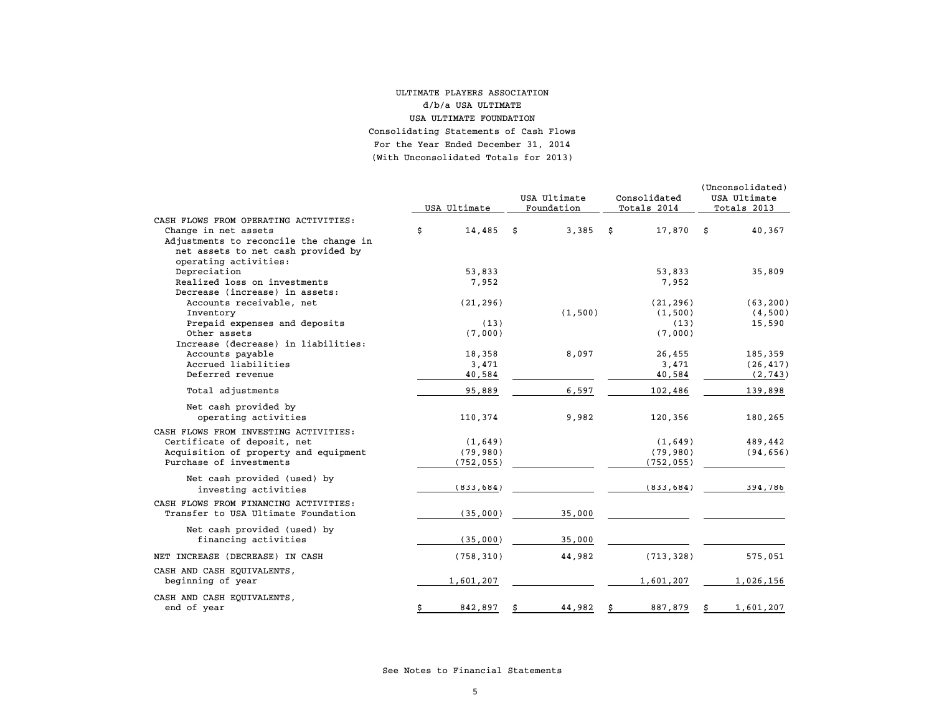#### For the Year Ended December 31, 2014 (With Unconsolidated Totals for 2013) ULTIMATE PLAYERS ASSOCIATION d/b/a USA ULTIMATEUSA ULTIMATE FOUNDATIONConsolidating Statements of Cash Flows

|                                                                | USA Ultimate      | USA Ultimate<br>Foundation | Consolidated<br>Totals 2014 | (Unconsolidated)<br>USA Ultimate<br>Totals 2013 |
|----------------------------------------------------------------|-------------------|----------------------------|-----------------------------|-------------------------------------------------|
| CASH FLOWS FROM OPERATING ACTIVITIES:                          |                   |                            |                             |                                                 |
| Change in net assets<br>Adjustments to reconcile the change in | \$<br>$14,485$ \$ | 3,385                      | \$<br>17,870                | \$<br>40,367                                    |
| net assets to net cash provided by<br>operating activities:    |                   |                            |                             |                                                 |
| Depreciation                                                   | 53,833            |                            | 53,833                      | 35,809                                          |
| Realized loss on investments                                   | 7,952             |                            | 7,952                       |                                                 |
| Decrease (increase) in assets:                                 |                   |                            |                             |                                                 |
| Accounts receivable, net                                       | (21, 296)         |                            | (21, 296)                   | (63, 200)                                       |
| Inventory                                                      |                   | (1, 500)                   | (1, 500)                    | (4,500)                                         |
| Prepaid expenses and deposits                                  | (13)              |                            | (13)                        | 15,590                                          |
| Other assets                                                   | (7,000)           |                            | (7,000)                     |                                                 |
| Increase (decrease) in liabilities:                            |                   |                            |                             |                                                 |
| Accounts payable                                               | 18,358            | 8,097                      | 26,455                      | 185,359                                         |
| Accrued liabilities                                            | 3,471             |                            | 3,471                       | (26, 417)                                       |
| Deferred revenue                                               | 40,584            |                            | 40,584                      | (2, 743)                                        |
| Total adjustments                                              | 95,889            | 6,597                      | 102,486                     | 139,898                                         |
|                                                                |                   |                            |                             |                                                 |
| Net cash provided by<br>operating activities                   | 110,374           | 9,982                      | 120,356                     | 180,265                                         |
| CASH FLOWS FROM INVESTING ACTIVITIES:                          |                   |                            |                             |                                                 |
| Certificate of deposit, net                                    | (1,649)           |                            | (1,649)                     | 489,442                                         |
| Acquisition of property and equipment                          | (79, 980)         |                            | (79, 980)                   | (94, 656)                                       |
| Purchase of investments                                        | (752, 055)        |                            | (752, 055)                  |                                                 |
|                                                                |                   |                            |                             |                                                 |
| Net cash provided (used) by                                    |                   |                            | (833, 684)                  |                                                 |
| investing activities                                           | (833, 684)        |                            |                             | 394,786                                         |
| CASH FLOWS FROM FINANCING ACTIVITIES:                          |                   |                            |                             |                                                 |
| Transfer to USA Ultimate Foundation                            | (35,000)          | 35,000                     |                             |                                                 |
|                                                                |                   |                            |                             |                                                 |
| Net cash provided (used) by                                    |                   |                            |                             |                                                 |
| financing activities                                           | (35,000)          | 35,000                     |                             |                                                 |
| NET INCREASE (DECREASE) IN CASH                                | (758, 310)        | 44,982                     | (713, 328)                  | 575,051                                         |
| CASH AND CASH EQUIVALENTS,                                     |                   |                            |                             |                                                 |
| beginning of year                                              | 1,601,207         |                            | 1,601,207                   | 1,026,156                                       |
| CASH AND CASH EQUIVALENTS,                                     |                   |                            |                             |                                                 |
| end of year                                                    | 842,897           | 44,982                     | 887,879                     | 1,601,207                                       |
|                                                                |                   |                            |                             |                                                 |

See Notes to Financial Statements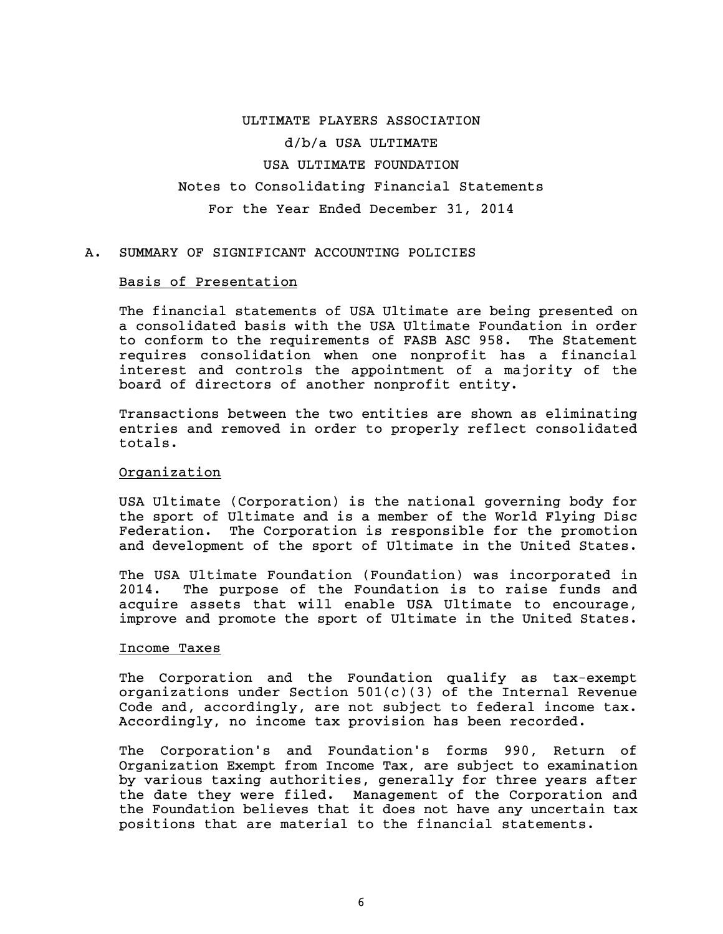# ULTIMATE PLAYERS ASSOCIATION d/b/a USA ULTIMATE USA ULTIMATE FOUNDATION Notes to Consolidating Financial Statements For the Year Ended December 31, 2014

# A. SUMMARY OF SIGNIFICANT ACCOUNTING POLICIES

#### Basis of Presentation

The financial statements of USA Ultimate are being presented on a consolidated basis with the USA Ultimate Foundation in order to conform to the requirements of FASB ASC 958. The Statement requires consolidation when one nonprofit has a financial interest and controls the appointment of a majority of the board of directors of another nonprofit entity.

Transactions between the two entities are shown as eliminating entries and removed in order to properly reflect consolidated totals.

## Organization

USA Ultimate (Corporation) is the national governing body for the sport of Ultimate and is a member of the World Flying Disc Federation. The Corporation is responsible for the promotion and development of the sport of Ultimate in the United States.

The USA Ultimate Foundation (Foundation) was incorporated in 2014. The purpose of the Foundation is to raise funds and acquire assets that will enable USA Ultimate to encourage, improve and promote the sport of Ultimate in the United States.

## Income Taxes

The Corporation and the Foundation qualify as tax-exempt organizations under Section  $501(c)(3)$  of the Internal Revenue Code and, accordingly, are not subject to federal income tax. Accordingly, no income tax provision has been recorded.

The Corporation's and Foundation's forms 990, Return of Organization Exempt from Income Tax, are subject to examination by various taxing authorities, generally for three years after the date they were filed. Management of the Corporation and the Foundation believes that it does not have any uncertain tax positions that are material to the financial statements.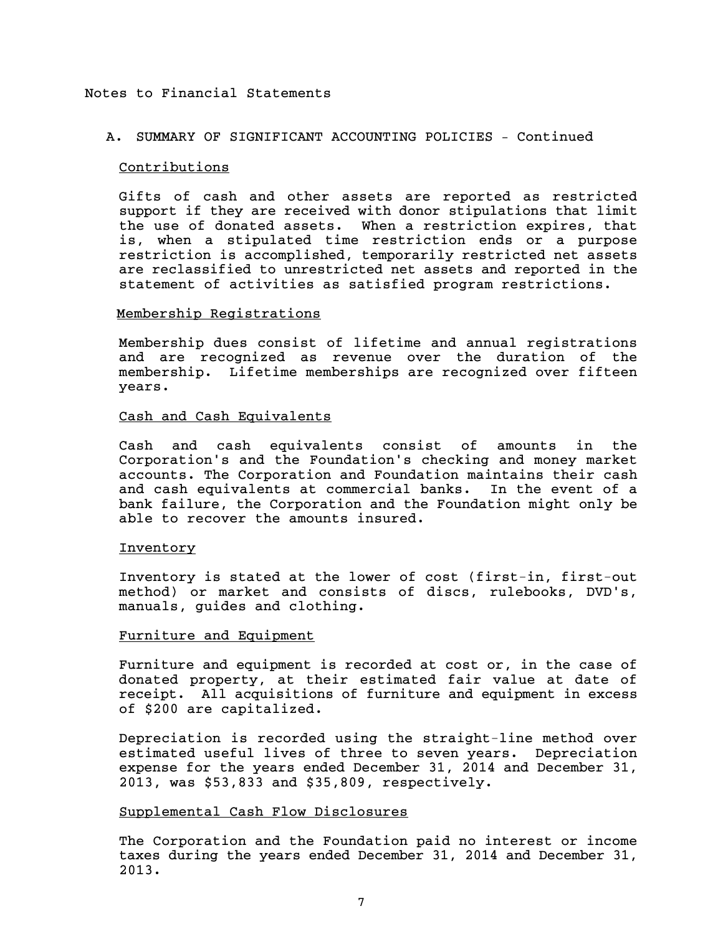# A. SUMMARY OF SIGNIFICANT ACCOUNTING POLICIES – Continued

#### Contributions

Gifts of cash and other assets are reported as restricted support if they are received with donor stipulations that limit the use of donated assets. When a restriction expires, that is, when a stipulated time restriction ends or a purpose restriction is accomplished, temporarily restricted net assets are reclassified to unrestricted net assets and reported in the statement of activities as satisfied program restrictions.

# Membership Registrations

Membership dues consist of lifetime and annual registrations and are recognized as revenue over the duration of the membership. Lifetime memberships are recognized over fifteen years.

## Cash and Cash Equivalents

Cash and cash equivalents consist of amounts in the Corporation's and the Foundation's checking and money market accounts. The Corporation and Foundation maintains their cash and cash equivalents at commercial banks. In the event of a bank failure, the Corporation and the Foundation might only be able to recover the amounts insured.

#### Inventory

Inventory is stated at the lower of cost (first-in, first-out method) or market and consists of discs, rulebooks, DVD's, manuals, guides and clothing.

#### Furniture and Equipment

Furniture and equipment is recorded at cost or, in the case of donated property, at their estimated fair value at date of receipt. All acquisitions of furniture and equipment in excess of \$200 are capitalized.

Depreciation is recorded using the straight-line method over estimated useful lives of three to seven years. Depreciation expense for the years ended December 31, 2014 and December 31, 2013, was \$53,833 and \$35,809, respectively.

#### Supplemental Cash Flow Disclosures

The Corporation and the Foundation paid no interest or income taxes during the years ended December 31, 2014 and December 31, 2013.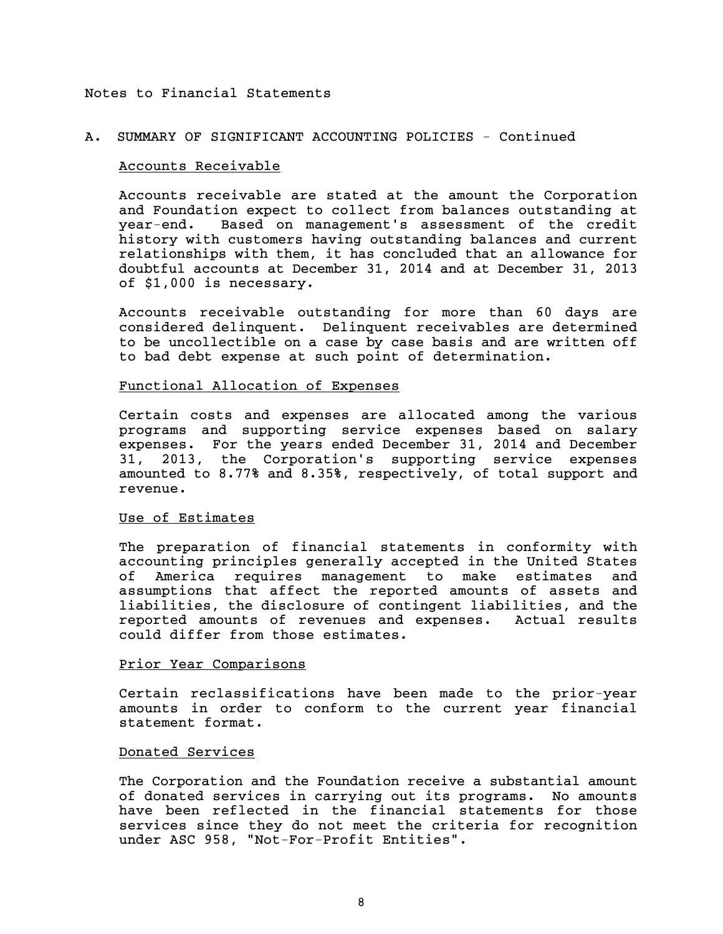# A. SUMMARY OF SIGNIFICANT ACCOUNTING POLICIES - Continued

#### Accounts Receivable

Accounts receivable are stated at the amount the Corporation and Foundation expect to collect from balances outstanding at year-end. Based on management's assessment of the credit history with customers having outstanding balances and current relationships with them, it has concluded that an allowance for doubtful accounts at December 31, 2014 and at December 31, 2013 of \$1,000 is necessary.

Accounts receivable outstanding for more than 60 days are considered delinquent. Delinquent receivables are determined to be uncollectible on a case by case basis and are written off to bad debt expense at such point of determination.

## Functional Allocation of Expenses

Certain costs and expenses are allocated among the various programs and supporting service expenses based on salary expenses. For the years ended December 31, 2014 and December 31, 2013, the Corporation's supporting service expenses amounted to 8.77% and 8.35%, respectively, of total support and revenue.

#### Use of Estimates

The preparation of financial statements in conformity with accounting principles generally accepted in the United States of America requires management to make estimates and assumptions that affect the reported amounts of assets and liabilities, the disclosure of contingent liabilities, and the reported amounts of revenues and expenses. Actual results could differ from those estimates.

#### Prior Year Comparisons

Certain reclassifications have been made to the prior-year amounts in order to conform to the current year financial statement format.

# Donated Services

The Corporation and the Foundation receive a substantial amount of donated services in carrying out its programs. No amounts have been reflected in the financial statements for those services since they do not meet the criteria for recognition under ASC 958, "Not-For-Profit Entities".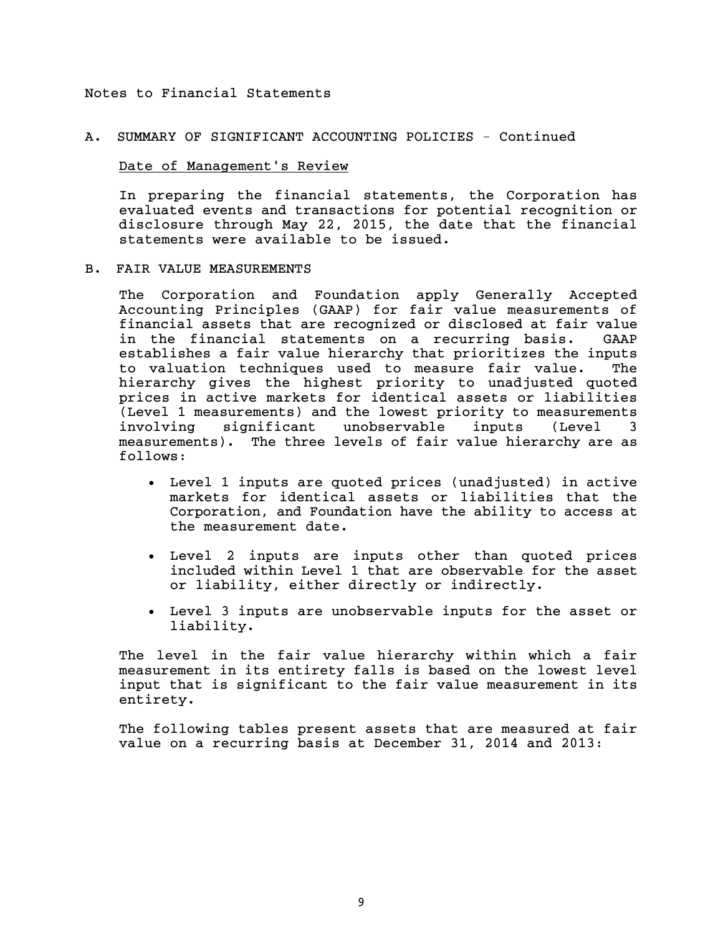# A. SUMMARY OF SIGNIFICANT ACCOUNTING POLICIES - Continued

#### Date of Management's Review

In preparing the financial statements, the Corporation has evaluated events and transactions for potential recognition or disclosure through May 22, 2015, the date that the financial statements were available to be issued.

#### B. FAIR VALUE MEASUREMENTS

The Corporation and Foundation apply Generally Accepted Accounting Principles (GAAP) for fair value measurements of financial assets that are recognized or disclosed at fair value in the financial statements on a recurring basis. GAAP establishes a fair value hierarchy that prioritizes the inputs to valuation techniques used to measure fair value. The hierarchy gives the highest priority to unadjusted quoted prices in active markets for identical assets or liabilities (Level 1 measurements) and the lowest priority to measurements involving significant unobservable inputs (Level 3 measurements). The three levels of fair value hierarchy are as follows:

- Level 1 inputs are quoted prices (unadjusted) in active markets for identical assets or liabilities that the Corporation, and Foundation have the ability to access at the measurement date.
- Level 2 inputs are inputs other than quoted prices included within Level 1 that are observable for the asset or liability, either directly or indirectly.
- Level 3 inputs are unobservable inputs for the asset or liability.

The level in the fair value hierarchy within which a fair measurement in its entirety falls is based on the lowest level input that is significant to the fair value measurement in its entirety.

The following tables present assets that are measured at fair value on a recurring basis at December 31, 2014 and 2013: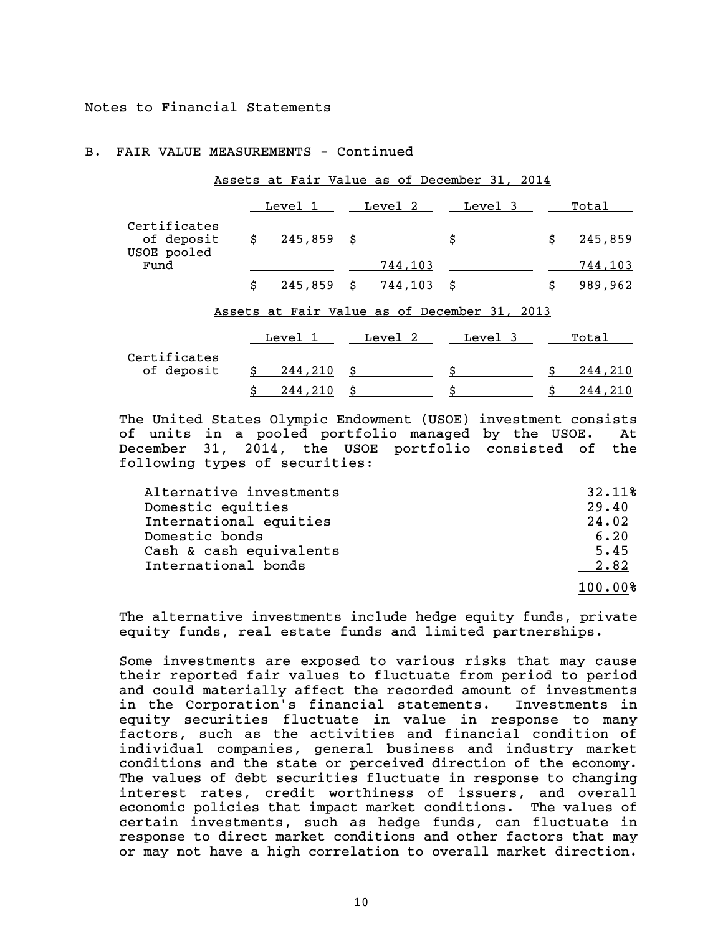#### B. FAIR VALUE MEASUREMENTS - Continued

|                                           |              | Level 1        |    | Level 2 | Level 3                                      |     | Total   |
|-------------------------------------------|--------------|----------------|----|---------|----------------------------------------------|-----|---------|
| Certificates<br>of deposit<br>USOE pooled | $\mathsf{S}$ | $245,859$ \$   |    |         | \$                                           | \$. | 245,859 |
| Fund                                      |              |                |    | 744,103 |                                              |     | 744,103 |
|                                           |              | 245,859        | Ŝ. | 744,103 | $\mathsf{s}\_$                               | ċ   | 989,962 |
|                                           |              |                |    |         | Assets at Fair Value as of December 31, 2013 |     |         |
|                                           |              | Level 1        |    | Level 2 | Level 3                                      |     | Total   |
| Certificates                              |              |                |    |         |                                              |     |         |
| of deposit                                | Ŝ            | 244,210        | \$ |         | Ŝ.                                           |     | 244,210 |
|                                           | \$           | <u>244,210</u> | Ś. |         | \$                                           |     | 244,210 |

Assets at Fair Value as of December 31, 2014

The United States Olympic Endowment (USOE) investment consists of units in a pooled portfolio managed by the USOE. At December 31, 2014, the USOE portfolio consisted of the following types of securities:

| Alternative investments | 32.11%  |
|-------------------------|---------|
| Domestic equities       | 29.40   |
| International equities  | 24.02   |
| Domestic bonds          | 6.20    |
| Cash & cash equivalents | 5.45    |
| International bonds     | 2.82    |
|                         | 100.00% |

The alternative investments include hedge equity funds, private equity funds, real estate funds and limited partnerships.

Some investments are exposed to various risks that may cause their reported fair values to fluctuate from period to period and could materially affect the recorded amount of investments in the Corporation's financial statements. Investments in equity securities fluctuate in value in response to many factors, such as the activities and financial condition of individual companies, general business and industry market conditions and the state or perceived direction of the economy. The values of debt securities fluctuate in response to changing interest rates, credit worthiness of issuers, and overall economic policies that impact market conditions. The values of certain investments, such as hedge funds, can fluctuate in response to direct market conditions and other factors that may or may not have a high correlation to overall market direction.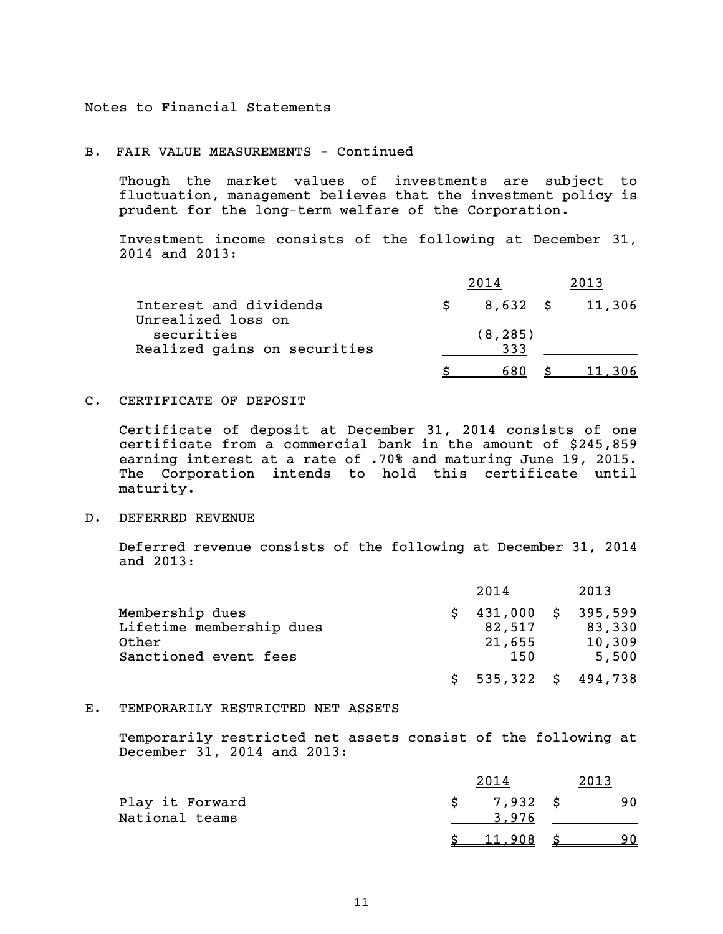#### B. FAIR VALUE MEASUREMENTS - Continued

Though the market values of investments are subject to fluctuation, management believes that the investment policy is prudent for the long-term welfare of the Corporation.

Investment income consists of the following at December 31, 2014 and 2013:

| Interest and dividends           | 8,632 \$ | 11,306 |
|----------------------------------|----------|--------|
| Unrealized loss on<br>securities | (8, 285) |        |
| Realized gains on securities     | 333      |        |
|                                  |          |        |

#### C. CERTIFICATE OF DEPOSIT

Certificate of deposit at December 31, 2014 consists of one certificate from a commercial bank in the amount of \$245,859 earning interest at a rate of .70% and maturing June 19, 2015. The Corporation intends to hold this certificate until maturity.

#### D. DEFERRED REVENUE

Deferred revenue consists of the following at December 31, 2014 and 2013:

|                          | 2014       | 2013    |
|--------------------------|------------|---------|
| Membership dues          | 431,000 \$ | 395,599 |
| Lifetime membership dues | 82,517     | 83,330  |
| Other                    | 21,655     | 10,309  |
| Sanctioned event fees    | 150        | 5,500   |
|                          | 535,322    | 494.738 |

## E. TEMPORARILY RESTRICTED NET ASSETS

Temporarily restricted net assets consist of the following at December 31, 2014 and 2013:

|                                   |                   | 2013 |
|-----------------------------------|-------------------|------|
| Play it Forward<br>National teams | 7,932 \$<br>3.976 | -90  |
|                                   | 11,908            |      |